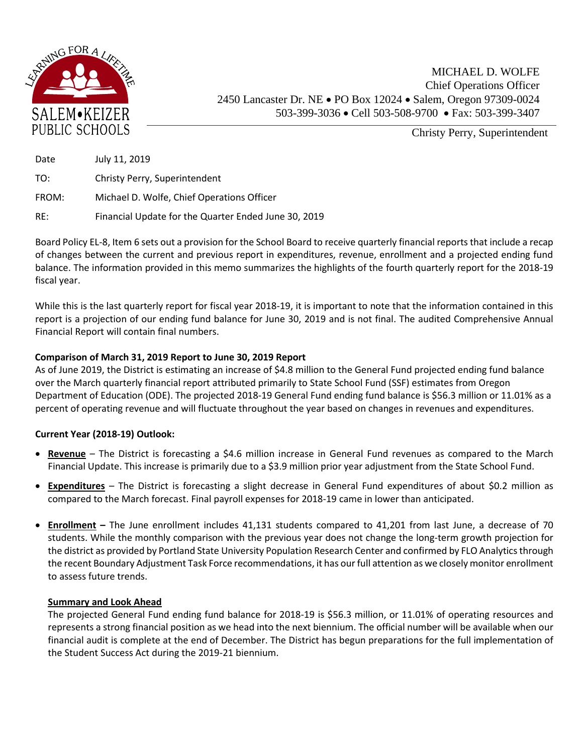

Christy Perry, Superintendent

| Date  | July 11, 2019                                        |
|-------|------------------------------------------------------|
| TO:   | Christy Perry, Superintendent                        |
| FROM: | Michael D. Wolfe, Chief Operations Officer           |
| RE:   | Financial Update for the Quarter Ended June 30, 2019 |

Board Policy EL-8, Item 6 sets out a provision for the School Board to receive quarterly financial reports that include a recap of changes between the current and previous report in expenditures, revenue, enrollment and a projected ending fund balance. The information provided in this memo summarizes the highlights of the fourth quarterly report for the 2018-19 fiscal year.

While this is the last quarterly report for fiscal year 2018‐19, it is important to note that the information contained in this report is a projection of our ending fund balance for June 30, 2019 and is not final. The audited Comprehensive Annual Financial Report will contain final numbers.

## **Comparison of March 31, 2019 Report to June 30, 2019 Report**

As of June 2019, the District is estimating an increase of \$4.8 million to the General Fund projected ending fund balance over the March quarterly financial report attributed primarily to State School Fund (SSF) estimates from Oregon Department of Education (ODE). The projected 2018-19 General Fund ending fund balance is \$56.3 million or 11.01% as a percent of operating revenue and will fluctuate throughout the year based on changes in revenues and expenditures.

## **Current Year (2018-19) Outlook:**

- **Revenue** The District is forecasting a \$4.6 million increase in General Fund revenues as compared to the March Financial Update. This increase is primarily due to a \$3.9 million prior year adjustment from the State School Fund.
- **Expenditures** The District is forecasting a slight decrease in General Fund expenditures of about \$0.2 million as compared to the March forecast. Final payroll expenses for 2018-19 came in lower than anticipated.
- **Enrollment –** The June enrollment includes 41,131 students compared to 41,201 from last June, a decrease of 70 students. While the monthly comparison with the previous year does not change the long-term growth projection for the district as provided by Portland State University Population Research Center and confirmed by FLO Analytics through the recent Boundary Adjustment Task Force recommendations, it has our full attention as we closely monitor enrollment to assess future trends.

## **Summary and Look Ahead**

The projected General Fund ending fund balance for 2018-19 is \$56.3 million, or 11.01% of operating resources and represents a strong financial position as we head into the next biennium. The official number will be available when our financial audit is complete at the end of December. The District has begun preparations for the full implementation of the Student Success Act during the 2019-21 biennium.